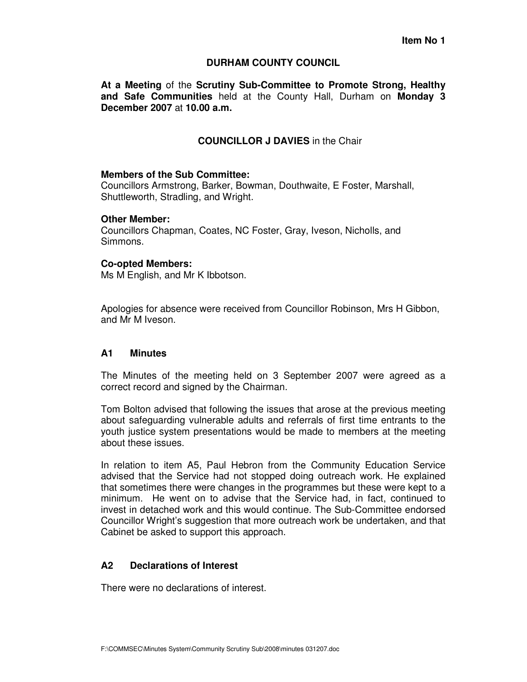### **DURHAM COUNTY COUNCIL**

**At a Meeting** of the **Scrutiny Sub-Committee to Promote Strong, Healthy and Safe Communities** held at the County Hall, Durham on **Monday 3 December 2007** at **10.00 a.m.** 

# **COUNCILLOR J DAVIES** in the Chair

#### **Members of the Sub Committee:**

Councillors Armstrong, Barker, Bowman, Douthwaite, E Foster, Marshall, Shuttleworth, Stradling, and Wright.

### **Other Member:**

Councillors Chapman, Coates, NC Foster, Gray, Iveson, Nicholls, and Simmons.

### **Co-opted Members:**

Ms M English, and Mr K Ibbotson.

Apologies for absence were received from Councillor Robinson, Mrs H Gibbon, and Mr M Iveson.

### **A1 Minutes**

The Minutes of the meeting held on 3 September 2007 were agreed as a correct record and signed by the Chairman.

Tom Bolton advised that following the issues that arose at the previous meeting about safeguarding vulnerable adults and referrals of first time entrants to the youth justice system presentations would be made to members at the meeting about these issues.

In relation to item A5, Paul Hebron from the Community Education Service advised that the Service had not stopped doing outreach work. He explained that sometimes there were changes in the programmes but these were kept to a minimum. He went on to advise that the Service had, in fact, continued to invest in detached work and this would continue. The Sub-Committee endorsed Councillor Wright's suggestion that more outreach work be undertaken, and that Cabinet be asked to support this approach.

## **A2 Declarations of Interest**

There were no declarations of interest.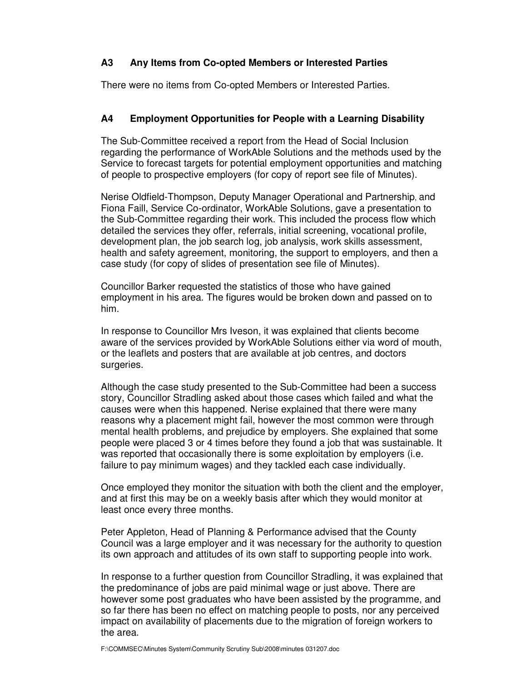# **A3 Any Items from Co-opted Members or Interested Parties**

There were no items from Co-opted Members or Interested Parties.

# **A4 Employment Opportunities for People with a Learning Disability**

The Sub-Committee received a report from the Head of Social Inclusion regarding the performance of WorkAble Solutions and the methods used by the Service to forecast targets for potential employment opportunities and matching of people to prospective employers (for copy of report see file of Minutes).

Nerise Oldfield-Thompson, Deputy Manager Operational and Partnership, and Fiona Faill, Service Co-ordinator, WorkAble Solutions, gave a presentation to the Sub-Committee regarding their work. This included the process flow which detailed the services they offer, referrals, initial screening, vocational profile, development plan, the job search log, job analysis, work skills assessment, health and safety agreement, monitoring, the support to employers, and then a case study (for copy of slides of presentation see file of Minutes).

Councillor Barker requested the statistics of those who have gained employment in his area. The figures would be broken down and passed on to him.

In response to Councillor Mrs Iveson, it was explained that clients become aware of the services provided by WorkAble Solutions either via word of mouth, or the leaflets and posters that are available at job centres, and doctors surgeries.

Although the case study presented to the Sub-Committee had been a success story, Councillor Stradling asked about those cases which failed and what the causes were when this happened. Nerise explained that there were many reasons why a placement might fail, however the most common were through mental health problems, and prejudice by employers. She explained that some people were placed 3 or 4 times before they found a job that was sustainable. It was reported that occasionally there is some exploitation by employers (i.e. failure to pay minimum wages) and they tackled each case individually.

Once employed they monitor the situation with both the client and the employer, and at first this may be on a weekly basis after which they would monitor at least once every three months.

Peter Appleton, Head of Planning & Performance advised that the County Council was a large employer and it was necessary for the authority to question its own approach and attitudes of its own staff to supporting people into work.

In response to a further question from Councillor Stradling, it was explained that the predominance of jobs are paid minimal wage or just above. There are however some post graduates who have been assisted by the programme, and so far there has been no effect on matching people to posts, nor any perceived impact on availability of placements due to the migration of foreign workers to the area.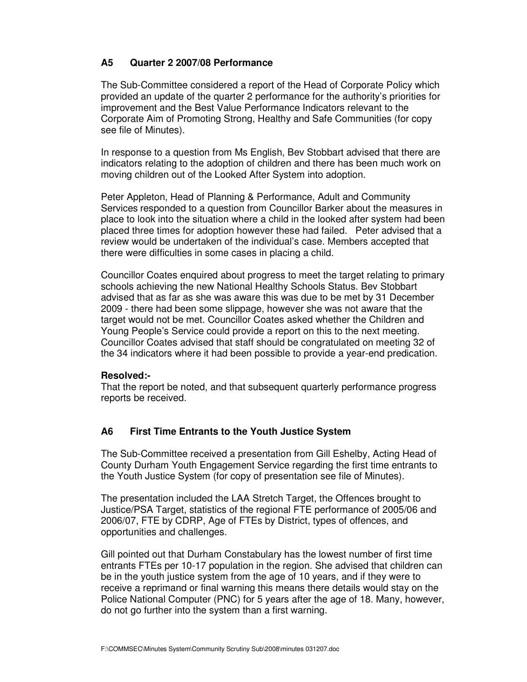# **A5 Quarter 2 2007/08 Performance**

The Sub-Committee considered a report of the Head of Corporate Policy which provided an update of the quarter 2 performance for the authority's priorities for improvement and the Best Value Performance Indicators relevant to the Corporate Aim of Promoting Strong, Healthy and Safe Communities (for copy see file of Minutes).

In response to a question from Ms English, Bev Stobbart advised that there are indicators relating to the adoption of children and there has been much work on moving children out of the Looked After System into adoption.

Peter Appleton, Head of Planning & Performance, Adult and Community Services responded to a question from Councillor Barker about the measures in place to look into the situation where a child in the looked after system had been placed three times for adoption however these had failed. Peter advised that a review would be undertaken of the individual's case. Members accepted that there were difficulties in some cases in placing a child.

Councillor Coates enquired about progress to meet the target relating to primary schools achieving the new National Healthy Schools Status. Bev Stobbart advised that as far as she was aware this was due to be met by 31 December 2009 - there had been some slippage, however she was not aware that the target would not be met. Councillor Coates asked whether the Children and Young People's Service could provide a report on this to the next meeting. Councillor Coates advised that staff should be congratulated on meeting 32 of the 34 indicators where it had been possible to provide a year-end predication.

### **Resolved:-**

That the report be noted, and that subsequent quarterly performance progress reports be received.

### **A6 First Time Entrants to the Youth Justice System**

The Sub-Committee received a presentation from Gill Eshelby, Acting Head of County Durham Youth Engagement Service regarding the first time entrants to the Youth Justice System (for copy of presentation see file of Minutes).

The presentation included the LAA Stretch Target, the Offences brought to Justice/PSA Target, statistics of the regional FTE performance of 2005/06 and 2006/07, FTE by CDRP, Age of FTEs by District, types of offences, and opportunities and challenges.

Gill pointed out that Durham Constabulary has the lowest number of first time entrants FTEs per 10-17 population in the region. She advised that children can be in the youth justice system from the age of 10 years, and if they were to receive a reprimand or final warning this means there details would stay on the Police National Computer (PNC) for 5 years after the age of 18. Many, however, do not go further into the system than a first warning.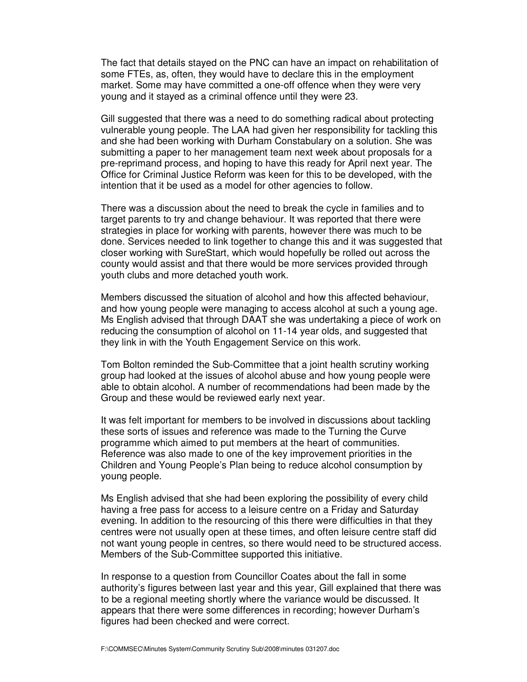The fact that details stayed on the PNC can have an impact on rehabilitation of some FTEs, as, often, they would have to declare this in the employment market. Some may have committed a one-off offence when they were very young and it stayed as a criminal offence until they were 23.

Gill suggested that there was a need to do something radical about protecting vulnerable young people. The LAA had given her responsibility for tackling this and she had been working with Durham Constabulary on a solution. She was submitting a paper to her management team next week about proposals for a pre-reprimand process, and hoping to have this ready for April next year. The Office for Criminal Justice Reform was keen for this to be developed, with the intention that it be used as a model for other agencies to follow.

There was a discussion about the need to break the cycle in families and to target parents to try and change behaviour. It was reported that there were strategies in place for working with parents, however there was much to be done. Services needed to link together to change this and it was suggested that closer working with SureStart, which would hopefully be rolled out across the county would assist and that there would be more services provided through youth clubs and more detached youth work.

Members discussed the situation of alcohol and how this affected behaviour, and how young people were managing to access alcohol at such a young age. Ms English advised that through DAAT she was undertaking a piece of work on reducing the consumption of alcohol on 11-14 year olds, and suggested that they link in with the Youth Engagement Service on this work.

Tom Bolton reminded the Sub-Committee that a joint health scrutiny working group had looked at the issues of alcohol abuse and how young people were able to obtain alcohol. A number of recommendations had been made by the Group and these would be reviewed early next year.

It was felt important for members to be involved in discussions about tackling these sorts of issues and reference was made to the Turning the Curve programme which aimed to put members at the heart of communities. Reference was also made to one of the key improvement priorities in the Children and Young People's Plan being to reduce alcohol consumption by young people.

Ms English advised that she had been exploring the possibility of every child having a free pass for access to a leisure centre on a Friday and Saturday evening. In addition to the resourcing of this there were difficulties in that they centres were not usually open at these times, and often leisure centre staff did not want young people in centres, so there would need to be structured access. Members of the Sub-Committee supported this initiative.

In response to a question from Councillor Coates about the fall in some authority's figures between last year and this year, Gill explained that there was to be a regional meeting shortly where the variance would be discussed. It appears that there were some differences in recording; however Durham's figures had been checked and were correct.